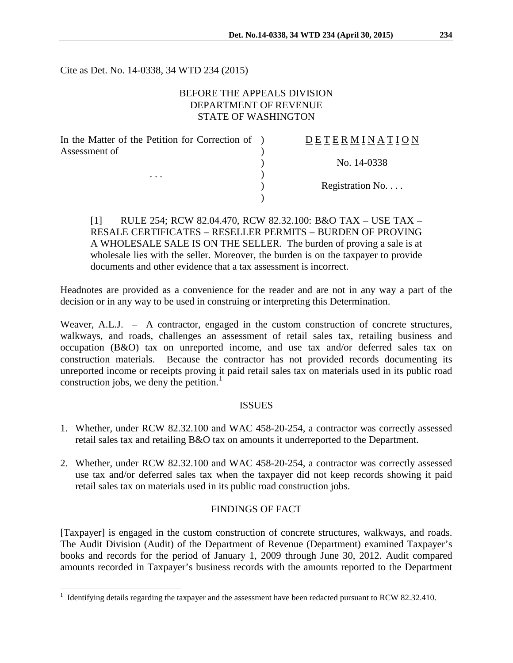Cite as Det. No. 14-0338, 34 WTD 234 (2015)

# BEFORE THE APPEALS DIVISION DEPARTMENT OF REVENUE STATE OF WASHINGTON

| In the Matter of the Petition for Correction of ) | DETERMINATION   |
|---------------------------------------------------|-----------------|
| Assessment of<br>$\cdots$                         |                 |
|                                                   | No. 14-0338     |
|                                                   |                 |
|                                                   | Registration No |
|                                                   |                 |
|                                                   |                 |

[1] RULE 254; RCW 82.04.470, RCW 82.32.100: B&O TAX – USE TAX – RESALE CERTIFICATES – RESELLER PERMITS – BURDEN OF PROVING A WHOLESALE SALE IS ON THE SELLER. The burden of proving a sale is at wholesale lies with the seller. Moreover, the burden is on the taxpayer to provide documents and other evidence that a tax assessment is incorrect.

Headnotes are provided as a convenience for the reader and are not in any way a part of the decision or in any way to be used in construing or interpreting this Determination.

Weaver, A.L.J. – A contractor, engaged in the custom construction of concrete structures, walkways, and roads, challenges an assessment of retail sales tax, retailing business and occupation (B&O) tax on unreported income, and use tax and/or deferred sales tax on construction materials. Because the contractor has not provided records documenting its unreported income or receipts proving it paid retail sales tax on materials used in its public road construction jobs, we deny the petition.<sup>[1](#page-0-0)</sup>

## ISSUES

- 1. Whether, under RCW 82.32.100 and WAC 458-20-254, a contractor was correctly assessed retail sales tax and retailing B&O tax on amounts it underreported to the Department.
- 2. Whether, under RCW 82.32.100 and WAC 458-20-254, a contractor was correctly assessed use tax and/or deferred sales tax when the taxpayer did not keep records showing it paid retail sales tax on materials used in its public road construction jobs.

## FINDINGS OF FACT

[Taxpayer] is engaged in the custom construction of concrete structures, walkways, and roads. The Audit Division (Audit) of the Department of Revenue (Department) examined Taxpayer's books and records for the period of January 1, 2009 through June 30, 2012. Audit compared amounts recorded in Taxpayer's business records with the amounts reported to the Department

 $\overline{a}$ 

<span id="page-0-0"></span><sup>&</sup>lt;sup>1</sup> Identifying details regarding the taxpayer and the assessment have been redacted pursuant to RCW 82.32.410.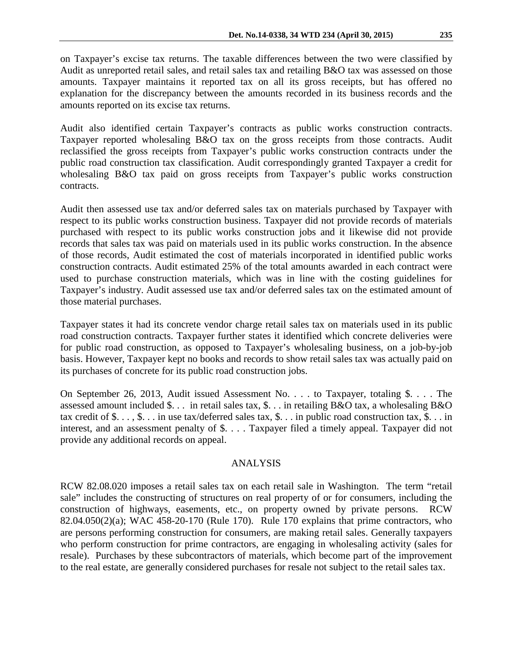on Taxpayer's excise tax returns. The taxable differences between the two were classified by Audit as unreported retail sales, and retail sales tax and retailing B&O tax was assessed on those amounts. Taxpayer maintains it reported tax on all its gross receipts, but has offered no explanation for the discrepancy between the amounts recorded in its business records and the amounts reported on its excise tax returns.

Audit also identified certain Taxpayer's contracts as public works construction contracts. Taxpayer reported wholesaling B&O tax on the gross receipts from those contracts. Audit reclassified the gross receipts from Taxpayer's public works construction contracts under the public road construction tax classification. Audit correspondingly granted Taxpayer a credit for wholesaling B&O tax paid on gross receipts from Taxpayer's public works construction contracts.

Audit then assessed use tax and/or deferred sales tax on materials purchased by Taxpayer with respect to its public works construction business. Taxpayer did not provide records of materials purchased with respect to its public works construction jobs and it likewise did not provide records that sales tax was paid on materials used in its public works construction. In the absence of those records, Audit estimated the cost of materials incorporated in identified public works construction contracts. Audit estimated 25% of the total amounts awarded in each contract were used to purchase construction materials, which was in line with the costing guidelines for Taxpayer's industry. Audit assessed use tax and/or deferred sales tax on the estimated amount of those material purchases.

Taxpayer states it had its concrete vendor charge retail sales tax on materials used in its public road construction contracts. Taxpayer further states it identified which concrete deliveries were for public road construction, as opposed to Taxpayer's wholesaling business, on a job-by-job basis. However, Taxpayer kept no books and records to show retail sales tax was actually paid on its purchases of concrete for its public road construction jobs.

On September 26, 2013, Audit issued Assessment No. . . . to Taxpayer, totaling \$. . . . The assessed amount included \$. . . in retail sales tax, \$. . . in retailing B&O tax, a wholesaling B&O tax credit of  $\$\dots$ ,  $\$\dots$  in use tax/deferred sales tax,  $\$\dots$  in public road construction tax,  $\$\dots$  in interest, and an assessment penalty of \$. . . . Taxpayer filed a timely appeal. Taxpayer did not provide any additional records on appeal.

## ANALYSIS

RCW 82.08.020 imposes a retail sales tax on each retail sale in Washington. The term "retail sale" includes the constructing of structures on real property of or for consumers, including the construction of highways, easements, etc., on property owned by private persons. RCW 82.04.050(2)(a); WAC 458-20-170 (Rule 170). Rule 170 explains that prime contractors, who are persons performing construction for consumers, are making retail sales. Generally taxpayers who perform construction for prime contractors, are engaging in wholesaling activity (sales for resale). Purchases by these subcontractors of materials, which become part of the improvement to the real estate, are generally considered purchases for resale not subject to the retail sales tax.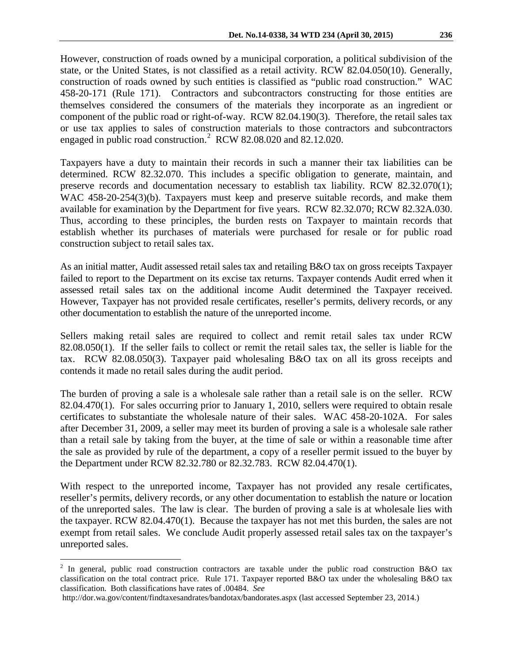However, construction of roads owned by a municipal corporation, a political subdivision of the state, or the United States, is not classified as a retail activity. RCW 82.04.050(10). Generally, construction of roads owned by such entities is classified as "public road construction." WAC 458-20-171 (Rule 171). Contractors and subcontractors constructing for those entities are themselves considered the consumers of the materials they incorporate as an ingredient or component of the public road or right-of-way. RCW 82.04.190(3). Therefore, the retail sales tax or use tax applies to sales of construction materials to those contractors and subcontractors engaged in public road construction.<sup>[2](#page-2-0)</sup> RCW 82.08.020 and 82.12.020.

Taxpayers have a duty to maintain their records in such a manner their tax liabilities can be determined. RCW 82.32.070. This includes a specific obligation to generate, maintain, and preserve records and documentation necessary to establish tax liability. RCW 82.32.070(1); WAC 458-20-254(3)(b). Taxpayers must keep and preserve suitable records, and make them available for examination by the Department for five years. RCW 82.32.070; RCW 82.32A.030. Thus, according to these principles, the burden rests on Taxpayer to maintain records that establish whether its purchases of materials were purchased for resale or for public road construction subject to retail sales tax.

As an initial matter, Audit assessed retail sales tax and retailing B&O tax on gross receipts Taxpayer failed to report to the Department on its excise tax returns. Taxpayer contends Audit erred when it assessed retail sales tax on the additional income Audit determined the Taxpayer received. However, Taxpayer has not provided resale certificates, reseller's permits, delivery records, or any other documentation to establish the nature of the unreported income.

Sellers making retail sales are required to collect and remit retail sales tax under RCW 82.08.050(1). If the seller fails to collect or remit the retail sales tax, the seller is liable for the tax. RCW 82.08.050(3). Taxpayer paid wholesaling B&O tax on all its gross receipts and contends it made no retail sales during the audit period.

The burden of proving a sale is a wholesale sale rather than a retail sale is on the seller. RCW 82.04.470(1). For sales occurring prior to January 1, 2010, sellers were required to obtain resale certificates to substantiate the wholesale nature of their sales. WAC 458-20-102A. For sales after December 31, 2009, a seller may meet its burden of proving a sale is a wholesale sale rather than a retail sale by taking from the buyer, at the time of sale or within a reasonable time after the sale as provided by rule of the department, a copy of a reseller permit issued to the buyer by the Department under RCW 82.32.780 or 82.32.783. RCW 82.04.470(1).

With respect to the unreported income, Taxpayer has not provided any resale certificates, reseller's permits, delivery records, or any other documentation to establish the nature or location of the unreported sales. The law is clear. The burden of proving a sale is at wholesale lies with the taxpayer. RCW 82.04.470(1). Because the taxpayer has not met this burden, the sales are not exempt from retail sales. We conclude Audit properly assessed retail sales tax on the taxpayer's unreported sales.

 $\overline{a}$ 

<span id="page-2-0"></span><sup>&</sup>lt;sup>2</sup> In general, public road construction contractors are taxable under the public road construction B&O tax classification on the total contract price. Rule 171. Taxpayer reported B&O tax under the wholesaling B&O tax classification. Both classifications have rates of .00484. *See*

http://dor.wa.gov/content/findtaxesandrates/bandotax/bandorates.aspx (last accessed September 23, 2014.)